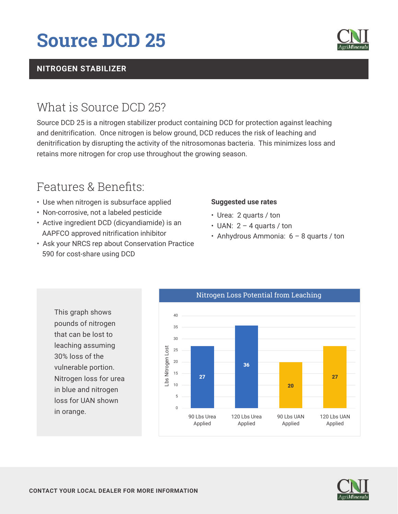# **Source DCD 25**

### **NITROGEN STABILIZER**

## What is Source DCD 25?

Source DCD 25 is a nitrogen stabilizer product containing DCD for protection against leaching and denitrification. Once nitrogen is below ground, DCD reduces the risk of leaching and denitrification by disrupting the activity of the nitrosomonas bacteria. This minimizes loss and retains more nitrogen for crop use throughout the growing season.

### Features & Benefits:

- Use when nitrogen is subsurface applied
- Non-corrosive, not a labeled pesticide
- Active ingredient DCD (dicyandiamide) is an AAPFCO approved nitrification inhibitor
- Ask your NRCS rep about Conservation Practice 590 for cost-share using DCD

#### **Suggested use rates**

- Urea: 2 quarts / ton
- $\cdot$  UAN: 2 4 quarts / ton
- Anhydrous Ammonia:  $6 8$  quarts / ton

This graph shows pounds of nitrogen that can be lost to leaching assuming 30% loss of the vulnerable portion. Nitrogen loss for urea in blue and nitrogen loss for UAN shown in orange.